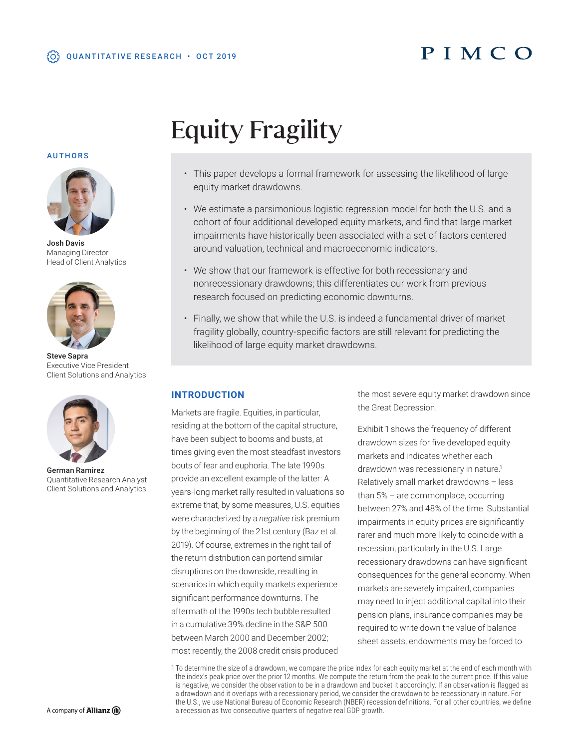## PIMCO

# Equity Fragility

- This paper develops a formal framework for assessing the likelihood of large equity market drawdowns.
- We estimate a parsimonious logistic regression model for both the U.S. and a cohort of four additional developed equity markets, and find that large market impairments have historically been associated with a set of factors centered around valuation, technical and macroeconomic indicators.
- We show that our framework is effective for both recessionary and nonrecessionary drawdowns; this differentiates our work from previous research focused on predicting economic downturns.
- Finally, we show that while the U.S. is indeed a fundamental driver of market fragility globally, country-specific factors are still relevant for predicting the likelihood of large equity market drawdowns.

## **INTRODUCTION**

Markets are fragile. Equities, in particular, residing at the bottom of the capital structure, have been subject to booms and busts, at times giving even the most steadfast investors bouts of fear and euphoria. The late 1990s provide an excellent example of the latter: A years-long market rally resulted in valuations so extreme that, by some measures, U.S. equities were characterized by a *negative* risk premium by the beginning of the 21st century (Baz et al. 2019). Of course, extremes in the right tail of the return distribution can portend similar disruptions on the downside, resulting in scenarios in which equity markets experience significant performance downturns. The aftermath of the 1990s tech bubble resulted in a cumulative 39% decline in the S&P 500 between March 2000 and December 2002; most recently, the 2008 credit crisis produced

the most severe equity market drawdown since the Great Depression.

Exhibit 1 shows the frequency of different drawdown sizes for five developed equity markets and indicates whether each drawdown was recessionary in nature.<sup>1</sup> Relatively small market drawdowns – less than 5% – are commonplace, occurring between 27% and 48% of the time. Substantial impairments in equity prices are significantly rarer and much more likely to coincide with a recession, particularly in the U.S. Large recessionary drawdowns can have significant consequences for the general economy. When markets are severely impaired, companies may need to inject additional capital into their pension plans, insurance companies may be required to write down the value of balance sheet assets, endowments may be forced to

1 To determine the size of a drawdown, we compare the price index for each equity market at the end of each month with the index's peak price over the prior 12 months. We compute the return from the peak to the current price. If this value is negative, we consider the observation to be in a drawdown and bucket it accordingly. If an observation is flagged as a drawdown and it overlaps with a recessionary period, we consider the drawdown to be recessionary in nature. For the U.S., we use National Bureau of Economic Research (NBER) recession definitions. For all other countries, we define a recession as two consecutive quarters of negative real GDP growth.

#### AUTHORS



Josh Davis Managing Director Head of Client Analytics



Steve Sapra Executive Vice President Client Solutions and Analytics



German Ramirez Quantitative Research Analyst Client Solutions and Analytics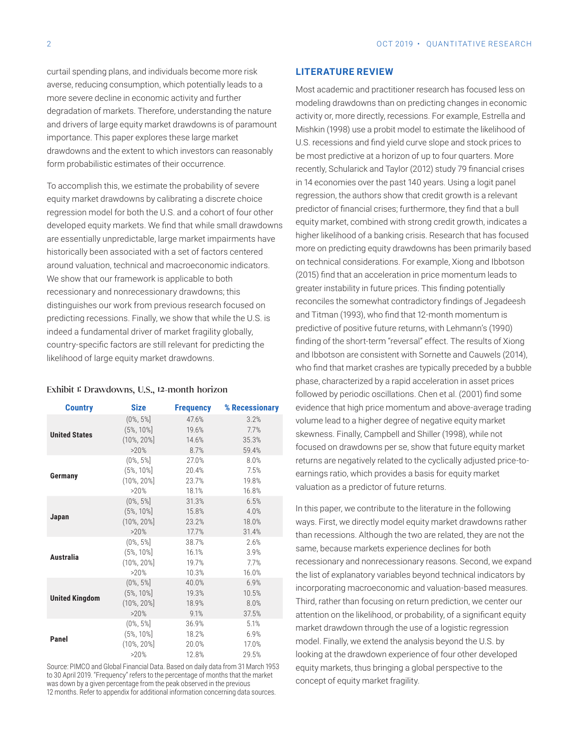curtail spending plans, and individuals become more risk averse, reducing consumption, which potentially leads to a more severe decline in economic activity and further degradation of markets. Therefore, understanding the nature and drivers of large equity market drawdowns is of paramount importance. This paper explores these large market drawdowns and the extent to which investors can reasonably form probabilistic estimates of their occurrence.

To accomplish this, we estimate the probability of severe equity market drawdowns by calibrating a discrete choice regression model for both the U.S. and a cohort of four other developed equity markets. We find that while small drawdowns are essentially unpredictable, large market impairments have historically been associated with a set of factors centered around valuation, technical and macroeconomic indicators. We show that our framework is applicable to both recessionary and nonrecessionary drawdowns; this distinguishes our work from previous research focused on predicting recessions. Finally, we show that while the U.S. is indeed a fundamental driver of market fragility globally, country-specific factors are still relevant for predicting the likelihood of large equity market drawdowns.

#### Exhibit 1: Drawdowns, U.S., 12-month horizon

| <b>Country</b>        | <b>Size</b>    | <b>Frequency</b> | % Recessionary |
|-----------------------|----------------|------------------|----------------|
|                       | $(0\%, 5\%)$   | 47.6%            | 3.2%           |
| <b>United States</b>  | $(5\%, 10\%]$  | 19.6%            | 7.7%           |
|                       | $(10\%, 20\%]$ | 14.6%            | 35.3%          |
|                       | >20%           | 8.7%             | 59.4%          |
|                       | $(0\%, 5\%)$   | 27.0%            | 8.0%           |
| Germany               | $(5\%, 10\%]$  | 20.4%            | 7.5%           |
|                       | $(10\%, 20\%]$ | 23.7%            | 19.8%          |
|                       | >20%           | 18.1%            | 16.8%          |
|                       | $(0\%, 5\%)$   | 31.3%            | 6.5%           |
| Japan                 | $(5\%, 10\%]$  | 15.8%            | 4.0%           |
|                       | $(10\%, 20\%]$ | 23.2%            | 18.0%          |
|                       | >20%           | 17.7%            | 31.4%          |
|                       | $(0\%, 5\%)$   | 38.7%            | 2.6%           |
| Australia             | $(5\%, 10\%]$  | 16.1%            | 3.9%           |
|                       | $(10\%, 20\%)$ | 19.7%            | 7.7%           |
|                       | >20%           | 10.3%            | 16.0%          |
|                       | $(0\%, 5\%)$   | 40.0%            | 6.9%           |
| <b>United Kingdom</b> | $(5\%, 10\%]$  | 19.3%            | 10.5%          |
|                       | $(10\%, 20\%]$ | 18.9%            | 8.0%           |
|                       | >20%           | 9.1%             | 37.5%          |
|                       | $(0\%, 5\%)$   | 36.9%            | 5.1%           |
| Panel                 | $(5\%, 10\%]$  | 18.2%            | 6.9%           |
|                       | $(10\%, 20\%]$ | 20.0%            | 17.0%          |
|                       | >20%           | 12.8%            | 29.5%          |

Source: PIMCO and Global Financial Data. Based on daily data from 31 March 1953 to 30 April 2019. "Frequency" refers to the percentage of months that the market was down by a given percentage from the peak observed in the previous 12 months. Refer to appendix for additional information concerning data sources.

#### **LITERATURE REVIEW**

Most academic and practitioner research has focused less on modeling drawdowns than on predicting changes in economic activity or, more directly, recessions. For example, Estrella and Mishkin (1998) use a probit model to estimate the likelihood of U.S. recessions and find yield curve slope and stock prices to be most predictive at a horizon of up to four quarters. More recently, Schularick and Taylor (2012) study 79 financial crises in 14 economies over the past 140 years. Using a logit panel regression, the authors show that credit growth is a relevant predictor of financial crises; furthermore, they find that a bull equity market, combined with strong credit growth, indicates a higher likelihood of a banking crisis. Research that has focused more on predicting equity drawdowns has been primarily based on technical considerations. For example, Xiong and Ibbotson (2015) find that an acceleration in price momentum leads to greater instability in future prices. This finding potentially reconciles the somewhat contradictory findings of Jegadeesh and Titman (1993), who find that 12-month momentum is predictive of positive future returns, with Lehmann's (1990) finding of the short-term "reversal" effect. The results of Xiong and Ibbotson are consistent with Sornette and Cauwels (2014), who find that market crashes are typically preceded by a bubble phase, characterized by a rapid acceleration in asset prices followed by periodic oscillations. Chen et al. (2001) find some evidence that high price momentum and above-average trading volume lead to a higher degree of negative equity market skewness. Finally, Campbell and Shiller (1998), while not focused on drawdowns per se, show that future equity market returns are negatively related to the cyclically adjusted price-toearnings ratio, which provides a basis for equity market valuation as a predictor of future returns.

In this paper, we contribute to the literature in the following ways. First, we directly model equity market drawdowns rather than recessions. Although the two are related, they are not the same, because markets experience declines for both recessionary and nonrecessionary reasons. Second, we expand the list of explanatory variables beyond technical indicators by incorporating macroeconomic and valuation-based measures. Third, rather than focusing on return prediction, we center our attention on the likelihood, or probability, of a significant equity market drawdown through the use of a logistic regression model. Finally, we extend the analysis beyond the U.S. by looking at the drawdown experience of four other developed equity markets, thus bringing a global perspective to the concept of equity market fragility.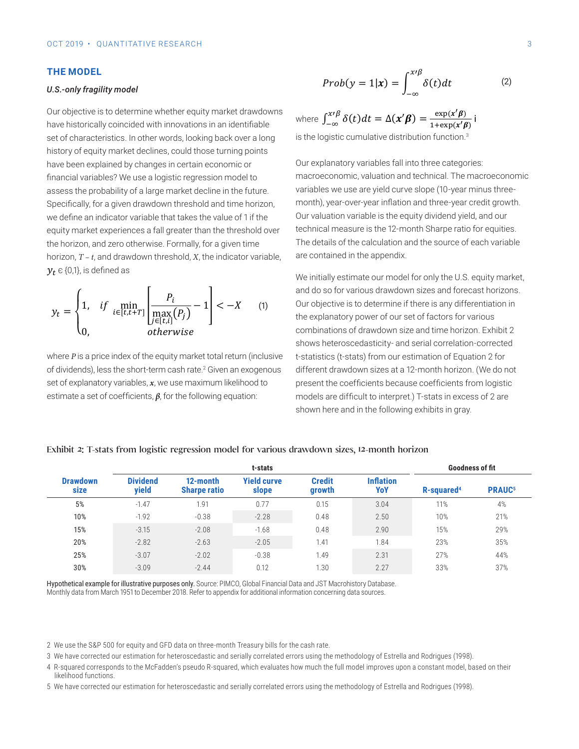#### **THE MODEL**

#### *U.S.-only fragility model*

set of characteristics. In other words, looking back over a long is the logis history of equity market declines, could those turning points have been explained by changes in certain economic or **combination** Our explanatory v financial variables? We use a logistic regression model to macroecono assess the probability of a large market decline in the future. variables we use Specifically, for a given drawdown threshold and time horizon, month), year-overwe define an indicator variable that takes the value of 1 if the  $\sim$  0ur valuation equity market experiences a fall greater than the threshold over technical m  $y_t$   $\in$  {0,1}, is defined as horizon, *T* – *t*, and drawdown threshold, *X*, the indicator variable, are con<br>**1/** ∈ {0 1} is defined as the horizon, and zero otherwise. Formally, for a given time The details our objective is to determine whench equity market drawdov<br>have historically coincided with innovations in an identifiable heteroscenasticity and serially correlation correlation corrected to the Equation of Equation of Equation of Equation of Equation of Equation of Equation of Equation of Equation of Equation of Equation of Equation of Equat Our objective is to determine whether equity market drawdowns

$$
y_{t} = \begin{cases} 1, & if \min_{i \in [t, t+T]} \left[ \frac{P_{i}}{\max\limits_{j \in [t, i]} (P_{j})} - 1 \right] < -X \\ 0, & otherwise \end{cases} \quad \text{(1)} \quad \begin{array}{c} \text{and do so for } \text{vari} \\ \text{Our objective is to the explanatory } p \\ \text{combinations of } q \\ \text{shows } \text{heterosce} \end{array}
$$

or dividendo), less the short term casmate. Siven an exogenous contretent and set of explanatory variables, *x*, we use maximum likelihood to present the *i* of dividends), less the short-term cash rate.<sup>2</sup> Given an exogenous different drawdow where *P* is a price index of the equity market total return (inclusive t-statistics (t-statistics) estimate a set of coefficients, *β*, for the following equation:

Our explanatory variables fall into three categories: macroeconomic, valuation and technical. The

$$
Prob(y = 1|\mathbf{x}) = \int_{-\infty}^{x \prime \beta} \delta(t) dt
$$
 (2)

wdowns where  $\int_{-\infty}^{x \prime \beta} \delta(t) dt = \Delta(x' \beta) = \frac{\exp(x' \beta)}{1 + \exp(x' \beta)}$  i is the logistic cumulative distribution function.<sup>3</sup>

nanges in certain economic or explanatory variables fall into three categories: e a logistic regression model to macroeconomic, valuation and technical. The macroeconomic a large market decline in the future. Wariables we use are yield curve slope (10-year minus threes a fall greater than the threshold over technical measure is the 12-month Sharpe ratio for equities. e a ran greater than the threshold over<br>prwise. Formally, for a given time The details of the calculation and the source of each variable wn threshold. X, the indicator variable. The contained in the appendix. month), year-over-year inflation and three-year credit growth. heteroscedasticity and serially correlation corrected t-statistics (t-stats) from our estimation of Equation Our valuation variable is the equity dividend yield, and our

We initially estimate our model for only the U.S. equity market, 1+exp (x) is the logistic cumulative distribution function.<br>3 is the logistic cumulative distribution function.<br>3 is the logistic cumulative distribution function. (1) the explanatory power of our set of factors for various [and do so for various drawdown sizes and forecast horizons. nts,  $\beta$ , for the following equation: models are difficult to interpret.) T-stats in excess of 2 are<br>shown here and in the following exhibits in gray. Our objective is to determine if there is any differentiation in present the coefficients because coefficients from logistic combinations of drawdown size and time horizon. Exhibit 2 shows heteroscedasticity- and serial correlation-corrected t-statistics (t-stats) from our estimation of Equation 2 for different drawdown sizes at a 12-month horizon. (We do not shown here and in the following exhibits in gray.

#### Exhibit 2: T-stats from logistic regression model for various drawdown sizes, d three-year credit growth. Our value is the equity dividend yield, and our technical yield, and our technical yield, and our technical yield, and our technical yield, and our technical yield, and our technical yield, and **t-stats Goodness of fit**

5 Exhibit 2: T-stats from logistic regression model for various drawdown sizes, 12-month horizon

|                         | t-stats                  |                                 |                             | Goodness of fit         |                         |                        |                          |
|-------------------------|--------------------------|---------------------------------|-----------------------------|-------------------------|-------------------------|------------------------|--------------------------|
| <b>Drawdown</b><br>size | <b>Dividend</b><br>yield | 12-month<br><b>Sharpe ratio</b> | <b>Yield curve</b><br>slope | <b>Credit</b><br>growth | <b>Inflation</b><br>YoY | R-squared <sup>4</sup> | <b>PRAUC<sup>5</sup></b> |
| 5%                      | $-1.47$                  | 1.91                            | 0.77                        | 0.15                    | 3.04                    | 11%                    | 4%                       |
| 10%                     | $-1.92$                  | $-0.38$                         | $-2.28$                     | 0.48                    | 2.50                    | 10%                    | 21%                      |
| 15%                     | $-3.15$                  | $-2.08$                         | $-1.68$                     | 0.48                    | 2.90                    | 15%                    | 29%                      |
| 20%                     | $-2.82$                  | $-2.63$                         | $-2.05$                     | 1.41                    | 1.84                    | 23%                    | 35%                      |
| 25%                     | $-3.07$                  | $-2.02$                         | $-0.38$                     | 1.49                    | 2.31                    | 27%                    | 44%                      |
| 30%                     | $-3.09$                  | $-2.44$                         | 0.12                        | 1.30                    | 2.27                    | 33%                    | 37%                      |
|                         |                          |                                 |                             |                         |                         |                        |                          |

Hypothetical example for illustrative purposes only. Source: PIMCO, Global Financial Data and JST Macrohistory Database. Monthly data from March 1951 to December 2018. Refer to appendix for additional information concerning data sources.

2 We use the S&P 500 for equity and GFD data on three-month Treasury bills for the cash rate.

3 We have corrected our estimation for heteroscedastic and serially correlated errors using the methodology of Estrella and Rodrigues (1998).

4 R-squared corresponds to the McFadden's pseudo R-squared, which evaluates how much the full model improves upon a constant model, based on their likelihood functions.

<sup>2</sup> We use the S&P 500 for equity and GFD data on three-month Treasury bills for the cash rate. 3 We have corrected our estimation for heteroscedastic and serially correlated errors using the methodology of 5 We have corrected our estimation for heteroscedastic and serially correlated errors using the methodology of Estrella and Rodrigues (1998).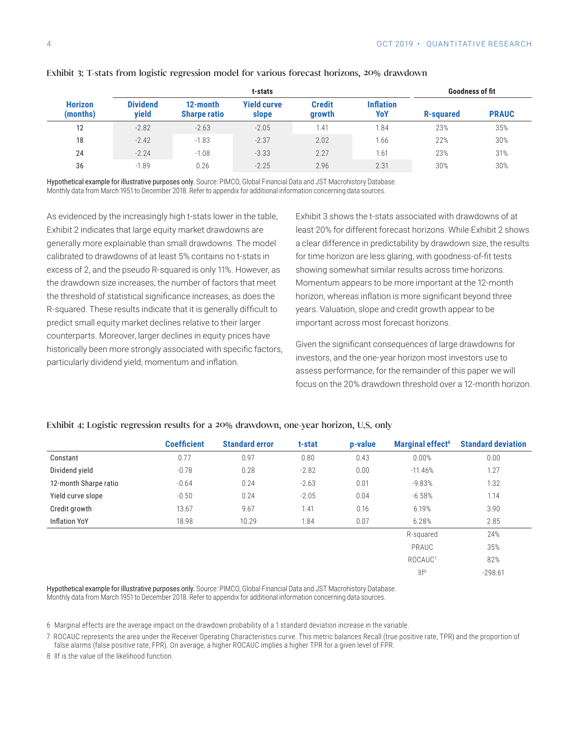|                            |                          |                                 | <b>Goodness of fit</b>      |                         |                         |           |              |
|----------------------------|--------------------------|---------------------------------|-----------------------------|-------------------------|-------------------------|-----------|--------------|
| <b>Horizon</b><br>(months) | <b>Dividend</b><br>vield | 12-month<br><b>Sharpe ratio</b> | <b>Yield curve</b><br>slope | <b>Credit</b><br>growth | <b>Inflation</b><br>YoY | R-squared | <b>PRAUC</b> |
| 12                         | $-2.82$                  | $-2.63$                         | $-2.05$                     | 1.41                    | 1.84                    | 23%       | 35%          |
| 18                         | $-2.42$                  | $-1.83$                         | $-2.37$                     | 2.02                    | 1.66                    | 22%       | 30%          |
| 24                         | $-2.24$                  | $-1.08$                         | $-3.33$                     | 2.27                    | 1.61                    | 23%       | 31%          |
| 36                         | $-1.89$                  | 0.26                            | $-2.25$                     | 2.96                    | 2.31                    | 30%       | 30%          |

#### Exhibit 3: T-stats from logistic regression model for various forecast horizons, 20% drawdown

Hypothetical example for illustrative purposes only. Source: PIMCO, Global Financial Data and JST Macrohistory Database. Monthly data from March 1951 to December 2018. Refer to appendix for additional information concerning data sources.

As evidenced by the increasingly high t-stats lower in the table, Exhibit 2 indicates that large equity market drawdowns are generally more explainable than small drawdowns. The model calibrated to drawdowns of at least 5% contains no t-stats in excess of 2, and the pseudo R-squared is only 11%. However, as the drawdown size increases, the number of factors that meet the threshold of statistical significance increases, as does the R-squared. These results indicate that it is generally difficult to predict small equity market declines relative to their larger counterparts. Moreover, larger declines in equity prices have historically been more strongly associated with specific factors, particularly dividend yield, momentum and inflation.

Exhibit 3 shows the t-stats associated with drawdowns of at least 20% for different forecast horizons. While Exhibit 2 shows a clear difference in predictability by drawdown size, the results for time horizon are less glaring, with goodness-of-fit tests showing somewhat similar results across time horizons. Momentum appears to be more important at the 12-month horizon, whereas inflation is more significant beyond three years. Valuation, slope and credit growth appear to be important across most forecast horizons.

Given the significant consequences of large drawdowns for investors, and the one-year horizon most investors use to assess performance, for the remainder of this paper we will focus on the 20% drawdown threshold over a 12-month horizon.

|                       | <b>Coefficient</b> | <b>Standard error</b> | t-stat  | p-value | <b>Marginal effect<sup>6</sup></b> | <b>Standard deviation</b> |
|-----------------------|--------------------|-----------------------|---------|---------|------------------------------------|---------------------------|
| Constant              | 0.77               | 0.97                  | 0.80    | 0.43    | 0.00%                              | 0.00                      |
| Dividend yield        | $-0.78$            | 0.28                  | $-2.82$ | 0.00    | $-11.46%$                          | 1.27                      |
| 12-month Sharpe ratio | $-0.64$            | 0.24                  | $-2.63$ | 0.01    | $-9.83%$                           | 1.32                      |
| Yield curve slope     | $-0.50$            | 0.24                  | $-2.05$ | 0.04    | $-6.58%$                           | 1.14                      |
| Credit growth         | 13.67              | 9.67                  | 1.41    | 0.16    | 6.19%                              | 3.90                      |
| <b>Inflation YoY</b>  | 18.98              | 10.29                 | 1.84    | 0.07    | 6.28%                              | 2.85                      |
|                       |                    |                       |         |         | R-squared                          | 24%                       |
|                       |                    |                       |         |         | PRAUC                              | 35%                       |
|                       |                    |                       |         |         | ROCAUC <sup>7</sup>                | 82%                       |
|                       |                    |                       |         |         | III <sup>8</sup>                   | $-298.61$                 |

#### Exhibit 4: Logistic regression results for a 20% drawdown, one-year horizon, U.S. only

Hypothetical example for illustrative purposes only. Source: PIMCO, Global Financial Data and JST Macrohistory Database. Monthly data from March 1951 to December 2018. Refer to appendix for additional information concerning data sources.

6 Marginal effects are the average impact on the drawdown probability of a 1 standard deviation increase in the variable.

7 ROCAUC represents the area under the Receiver Operating Characteristics curve. This metric balances Recall (true positive rate, TPR) and the proportion of false alarms (false positive rate, FPR). On average, a higher ROCAUC implies a higher TPR for a given level of FPR.

8 llf is the value of the likelihood function.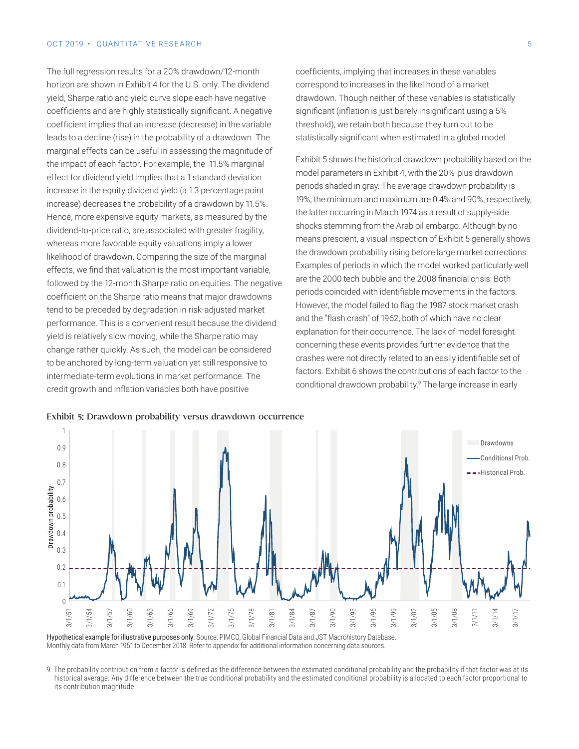#### OCT 2019 • OUANTITATIVE RESEARCH 5

The full regression results for a 20% drawdown/12-month horizon are shown in Exhibit 4 for the U.S. only. The dividend yield, Sharpe ratio and yield curve slope each have negative coefficients and are highly statistically significant. A negative coefficient implies that an increase (decrease) in the variable leads to a decline (rise) in the probability of a drawdown. The marginal effects can be useful in assessing the magnitude of the impact of each factor. For example, the -11.5% marginal effect for dividend yield implies that a 1 standard deviation increase in the equity dividend yield (a 1.3 percentage point increase) decreases the probability of a drawdown by 11.5%. Hence, more expensive equity markets, as measured by the dividend-to-price ratio, are associated with greater fragility, whereas more favorable equity valuations imply a lower likelihood of drawdown. Comparing the size of the marginal effects, we find that valuation is the most important variable, followed by the 12-month Sharpe ratio on equities. The negative coefficient on the Sharpe ratio means that major drawdowns tend to be preceded by degradation in risk-adjusted market performance. This is a convenient result because the dividend yield is relatively slow moving, while the Sharpe ratio may change rather quickly. As such, the model can be considered to be anchored by long-term valuation yet still responsive to intermediate-term evolutions in market performance. The credit growth and inflation variables both have positive

coefficients, implying that increases in these variables correspond to increases in the likelihood of a market drawdown. Though neither of these variables is statistically significant (inflation is just barely insignificant using a 5% threshold), we retain both because they turn out to be statistically significant when estimated in a global model.

Exhibit 5 shows the historical drawdown probability based on the model parameters in Exhibit 4, with the 20%-plus drawdown periods shaded in gray. The average drawdown probability is 19%; the minimum and maximum are 0.4% and 90%, respectively, the latter occurring in March 1974 as a result of supply-side shocks stemming from the Arab oil embargo. Although by no means prescient, a visual inspection of Exhibit 5 generally shows the drawdown probability rising before large market corrections. Examples of periods in which the model worked particularly well are the 2000 tech bubble and the 2008 financial crisis: Both periods coincided with identifiable movements in the factors. However, the model failed to flag the 1987 stock market crash and the "flash crash" of 1962, both of which have no clear explanation for their occurrence. The lack of model foresight concerning these events provides further evidence that the crashes were not directly related to an easily identifiable set of factors. Exhibit 6 shows the contributions of each factor to the conditional drawdown probability.<sup>9</sup> The large increase in early





Hypothetical example for illustrative purposes only. Source: PIMCO, Global Financial Data and JST Macrohistory Database. Monthly data from March 1951 to December 2018. Refer to appendix for additional information concerning data sources.

9 The probability contribution from a factor is defined as the difference between the estimated conditional probability and the probability if that factor was at its historical average. Any difference between the true conditional probability and the estimated conditional probability is allocated to each factor proportional to its contribution magnitude.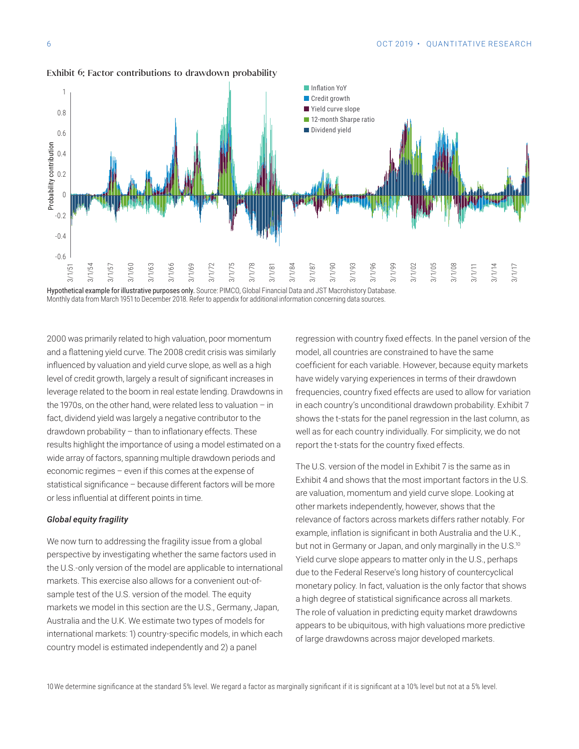

Exhibit 6: Factor contributions to drawdown probability

Hypothetical example for illustrative purposes only. Source: PIMCO, Global Financial Data and JST Macrohistory Database. Monthly data from March 1951 to December 2018. Refer to appendix for additional information concerning data sources.

2000 was primarily related to high valuation, poor momentum and a flattening yield curve. The 2008 credit crisis was similarly influenced by valuation and yield curve slope, as well as a high level of credit growth, largely a result of significant increases in leverage related to the boom in real estate lending. Drawdowns in the 1970s, on the other hand, were related less to valuation – in fact, dividend yield was largely a negative contributor to the drawdown probability – than to inflationary effects. These results highlight the importance of using a model estimated on a wide array of factors, spanning multiple drawdown periods and economic regimes – even if this comes at the expense of statistical significance – because different factors will be more or less influential at different points in time.

#### *Global equity fragility*

We now turn to addressing the fragility issue from a global perspective by investigating whether the same factors used in the U.S.-only version of the model are applicable to international markets. This exercise also allows for a convenient out-ofsample test of the U.S. version of the model. The equity markets we model in this section are the U.S., Germany, Japan, Australia and the U.K. We estimate two types of models for international markets: 1) country-specific models, in which each country model is estimated independently and 2) a panel

regression with country fixed effects. In the panel version of the model, all countries are constrained to have the same coefficient for each variable. However, because equity markets have widely varying experiences in terms of their drawdown frequencies, country fixed effects are used to allow for variation in each country's unconditional drawdown probability. Exhibit 7 shows the t-stats for the panel regression in the last column, as well as for each country individually. For simplicity, we do not report the t-stats for the country fixed effects.

The U.S. version of the model in Exhibit 7 is the same as in Exhibit 4 and shows that the most important factors in the U.S. are valuation, momentum and yield curve slope. Looking at other markets independently, however, shows that the relevance of factors across markets differs rather notably. For example, inflation is significant in both Australia and the U.K., but not in Germany or Japan, and only marginally in the U.S.<sup>10</sup> Yield curve slope appears to matter only in the U.S., perhaps due to the Federal Reserve's long history of countercyclical monetary policy. In fact, valuation is the only factor that shows a high degree of statistical significance across all markets. The role of valuation in predicting equity market drawdowns appears to be ubiquitous, with high valuations more predictive of large drawdowns across major developed markets.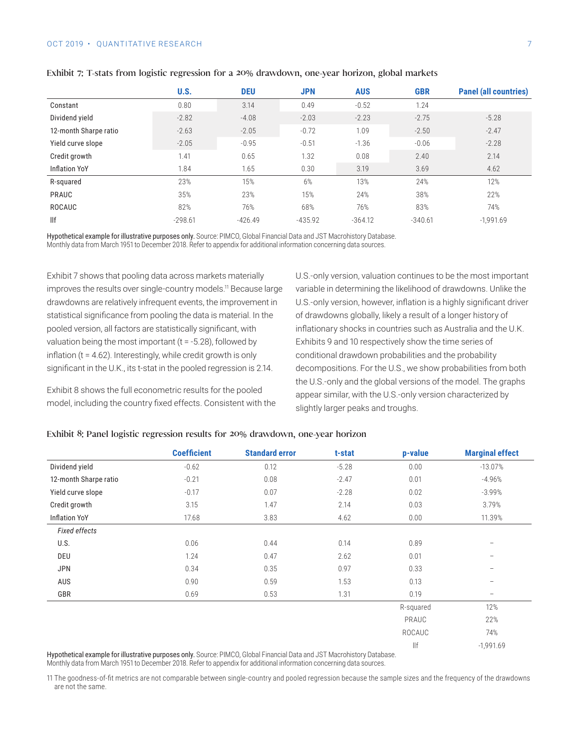#### OCT 2019 • OUANTITATIVE RESEARCH 7 7

|                       | U.S.      | <b>DEU</b> | <b>JPN</b> | <b>AUS</b> | <b>GBR</b> | <b>Panel (all countries)</b> |
|-----------------------|-----------|------------|------------|------------|------------|------------------------------|
| Constant              | 0.80      | 3.14       | 0.49       | $-0.52$    | 1.24       |                              |
| Dividend yield        | $-2.82$   | $-4.08$    | $-2.03$    | $-2.23$    | $-2.75$    | $-5.28$                      |
| 12-month Sharpe ratio | $-2.63$   | $-2.05$    | $-0.72$    | 1.09       | $-2.50$    | $-2.47$                      |
| Yield curve slope     | $-2.05$   | $-0.95$    | $-0.51$    | $-1.36$    | $-0.06$    | $-2.28$                      |
| Credit growth         | 1.41      | 0.65       | 1.32       | 0.08       | 2.40       | 2.14                         |
| <b>Inflation YoY</b>  | 1.84      | 1.65       | 0.30       | 3.19       | 3.69       | 4.62                         |
| R-squared             | 23%       | 15%        | 6%         | 13%        | 24%        | 12%                          |
| PRAUC                 | 35%       | 23%        | 15%        | 24%        | 38%        | 22%                          |
| <b>ROCAUC</b>         | 82%       | 76%        | 68%        | 76%        | 83%        | 74%                          |
| $\mathbb{H}$          | $-298.61$ | $-426.49$  | $-435.92$  | $-364.12$  | $-340.61$  | $-1.991.69$                  |

#### Exhibit 7: T-stats from logistic regression for a 20% drawdown, one-year horizon, global markets

Hypothetical example for illustrative purposes only. Source: PIMCO, Global Financial Data and JST Macrohistory Database. Monthly data from March 1951 to December 2018. Refer to appendix for additional information concerning data sources.

Exhibit 7 shows that pooling data across markets materially improves the results over single-country models.<sup>11</sup> Because large drawdowns are relatively infrequent events, the improvement in statistical significance from pooling the data is material. In the pooled version, all factors are statistically significant, with valuation being the most important ( $t = -5.28$ ), followed by inflation (t = 4.62). Interestingly, while credit growth is only significant in the U.K., its t-stat in the pooled regression is 2.14.

Exhibit 8 shows the full econometric results for the pooled model, including the country fixed effects. Consistent with the U.S.-only version, valuation continues to be the most important variable in determining the likelihood of drawdowns. Unlike the U.S.-only version, however, inflation is a highly significant driver of drawdowns globally, likely a result of a longer history of inflationary shocks in countries such as Australia and the U.K. Exhibits 9 and 10 respectively show the time series of conditional drawdown probabilities and the probability decompositions. For the U.S., we show probabilities from both the U.S.-only and the global versions of the model. The graphs appear similar, with the U.S.-only version characterized by slightly larger peaks and troughs.

|                       | <b>Coefficient</b> | <b>Standard error</b> | t-stat  | p-value   | <b>Marginal effect</b>   |
|-----------------------|--------------------|-----------------------|---------|-----------|--------------------------|
| Dividend yield        | $-0.62$            | 0.12                  | $-5.28$ | 0.00      | $-13.07%$                |
| 12-month Sharpe ratio | $-0.21$            | 0.08                  | $-2.47$ | 0.01      | $-4.96%$                 |
| Yield curve slope     | $-0.17$            | 0.07                  | $-2.28$ | 0.02      | $-3.99%$                 |
| Credit growth         | 3.15               | 1.47                  | 2.14    | 0.03      | 3.79%                    |
| <b>Inflation YoY</b>  | 17.68              | 3.83                  | 4.62    | 0.00      | 11.39%                   |
| <b>Fixed effects</b>  |                    |                       |         |           |                          |
| U.S.                  | 0.06               | 0.44                  | 0.14    | 0.89      | $\qquad \qquad -$        |
| DEU                   | 1.24               | 0.47                  | 2.62    | 0.01      | $\overline{\phantom{m}}$ |
| <b>JPN</b>            | 0.34               | 0.35                  | 0.97    | 0.33      | $\qquad \qquad -$        |
| AUS                   | 0.90               | 0.59                  | 1.53    | 0.13      | $\overline{\phantom{m}}$ |
| GBR                   | 0.69               | 0.53                  | 1.31    | 0.19      | $\overline{\phantom{m}}$ |
|                       |                    |                       |         | R-squared | 12%                      |
|                       |                    |                       |         | PRAUC     | 22%                      |
|                       |                    |                       |         | ROCAUC    | 74%                      |
|                       |                    |                       |         | llf       | $-1,991.69$              |

#### Exhibit 8: Panel logistic regression results for 20% drawdown, one-year horizon

Hypothetical example for illustrative purposes only. Source: PIMCO, Global Financial Data and JST Macrohistory Database. Monthly data from March 1951 to December 2018. Refer to appendix for additional information concerning data sources.

11 The goodness-of-fit metrics are not comparable between single-country and pooled regression because the sample sizes and the frequency of the drawdowns are not the same.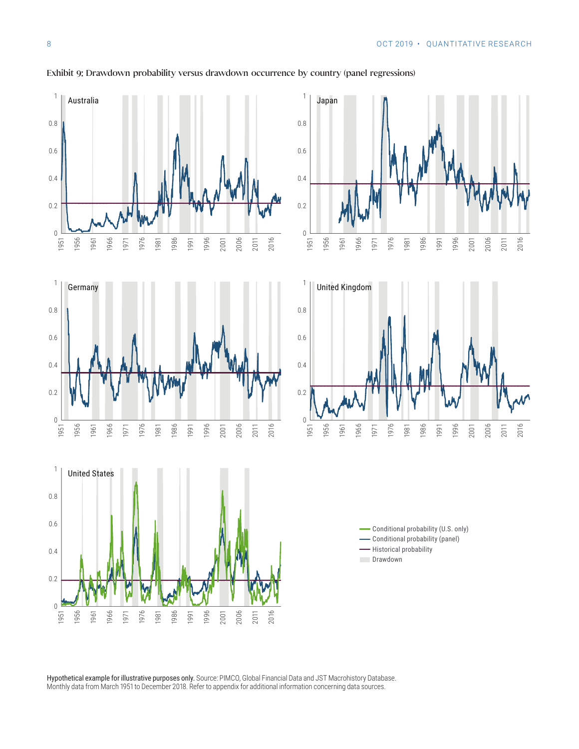

#### Exhibit 9: Drawdown probability versus drawdown occurrence by country (panel regressions)

Hypothetical example for illustrative purposes only. Source: PIMCO, Global Financial Data and JST Macrohistory Database. Monthly data from March 1951 to December 2018. Refer to appendix for additional information concerning data sources.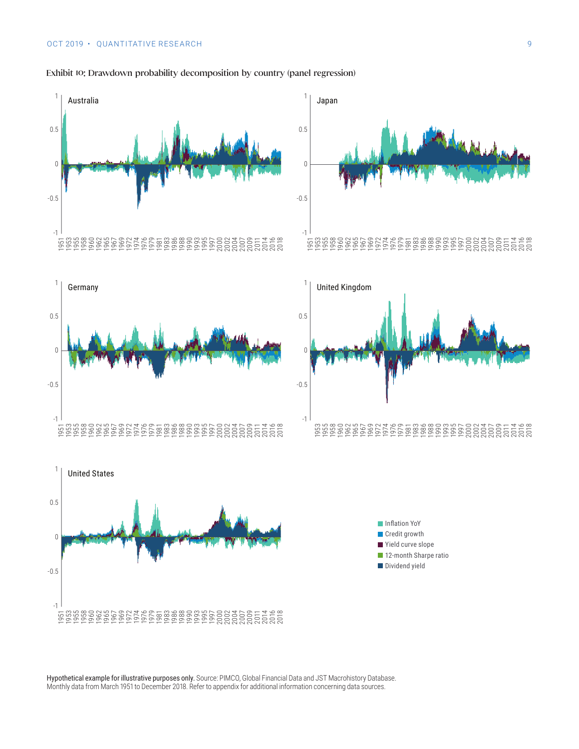

#### Exhibit 10: Drawdown probability decomposition by country (panel regression)





Hypothetical example for illustrative purposes only. Source: PIMCO, Global Financial Data and JST Macrohistory Database. Monthly data from March 1951 to December 2018. Refer to appendix for additional information concerning data sources.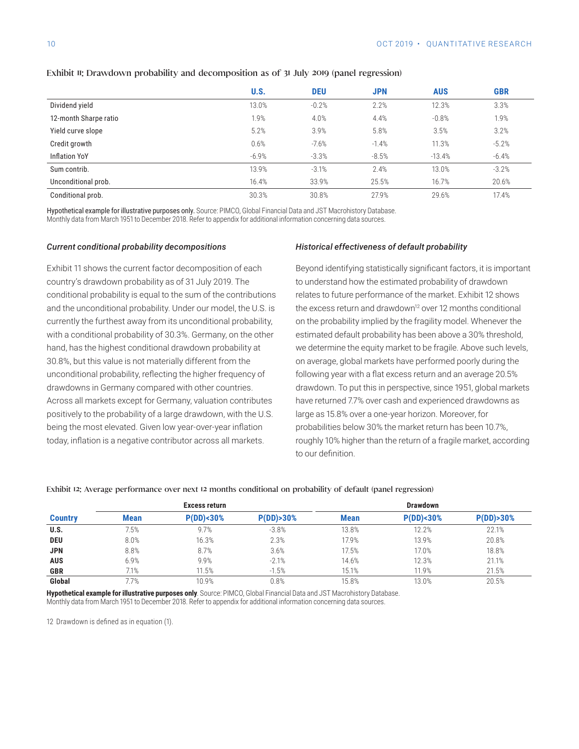|                       | U.S.    | <b>DEU</b> | <b>JPN</b> | <b>AUS</b> | <b>GBR</b> |
|-----------------------|---------|------------|------------|------------|------------|
| Dividend yield        | 13.0%   | $-0.2%$    | 2.2%       | 12.3%      | 3.3%       |
| 12-month Sharpe ratio | 1.9%    | 4.0%       | 4.4%       | $-0.8%$    | 1.9%       |
| Yield curve slope     | 5.2%    | 3.9%       | 5.8%       | 3.5%       | 3.2%       |
| Credit growth         | 0.6%    | $-7.6%$    | $-1.4%$    | 11.3%      | $-5.2%$    |
| <b>Inflation YoY</b>  | $-6.9%$ | $-3.3%$    | $-8.5%$    | $-13.4%$   | $-6.4%$    |
| Sum contrib.          | 13.9%   | $-3.1%$    | 2.4%       | 13.0%      | $-3.2%$    |
| Unconditional prob.   | 16.4%   | 33.9%      | 25.5%      | 16.7%      | 20.6%      |
| Conditional prob.     | 30.3%   | 30.8%      | 27.9%      | 29.6%      | 17.4%      |

#### Exhibit 11: Drawdown probability and decomposition as of 31 July 2019 (panel regression)

Hypothetical example for illustrative purposes only. Source: PIMCO, Global Financial Data and JST Macrohistory Database. Monthly data from March 1951 to December 2018. Refer to appendix for additional information concerning data sources.

#### *Current conditional probability decompositions*

Exhibit 11 shows the current factor decomposition of each country's drawdown probability as of 31 July 2019. The conditional probability is equal to the sum of the contributions and the unconditional probability. Under our model, the U.S. is currently the furthest away from its unconditional probability, with a conditional probability of 30.3%. Germany, on the other hand, has the highest conditional drawdown probability at 30.8%, but this value is not materially different from the unconditional probability, reflecting the higher frequency of drawdowns in Germany compared with other countries. Across all markets except for Germany, valuation contributes positively to the probability of a large drawdown, with the U.S. being the most elevated. Given low year-over-year inflation today, inflation is a negative contributor across all markets.

#### *Historical effectiveness of default probability*

Beyond identifying statistically significant factors, it is important to understand how the estimated probability of drawdown relates to future performance of the market. Exhibit 12 shows the excess return and drawdown<sup>12</sup> over 12 months conditional on the probability implied by the fragility model. Whenever the estimated default probability has been above a 30% threshold, we determine the equity market to be fragile. Above such levels, on average, global markets have performed poorly during the following year with a flat excess return and an average 20.5% drawdown. To put this in perspective, since 1951, global markets have returned 7.7% over cash and experienced drawdowns as large as 15.8% over a one-year horizon. Moreover, for probabilities below 30% the market return has been 10.7%, roughly 10% higher than the return of a fragile market, according to our definition.

### **Excess return Drawdown Country Mean P(DD)<30% P(DD)>30% Mean P(DD)<30% P(DD)>30% U.S.** 7.5% 9.7% -3.8% 13.8% 13.8% 12.2% 22.1% **DEU** 8.0% 16.3% 2.3% 17.9% 13.9% 20.8% **JPN** 8.8% 8.7% 3.6% 17.5% 17.0% 18.8% **AUS** 6.9% 9.9% -2.1% 14.6% 12.3% 21.1% **GBR** 7.1% 11.5% 15.1% 15.1% 15.1% 15.1% 15.1% 15.1% 17.9% 21.5%

**Global** 7.7% 10.9% 0.8% 15.8% 13.0% 20.5%

#### Exhibit 12: Average performance over next 12 months conditional on probability of default (panel regression)

**Hypothetical example for illustrative purposes only**. Source: PIMCO, Global Financial Data and JST Macrohistory Database. Monthly data from March 1951 to December 2018. Refer to appendix for additional information concerning data sources.

12 Drawdown is defined as in equation (1).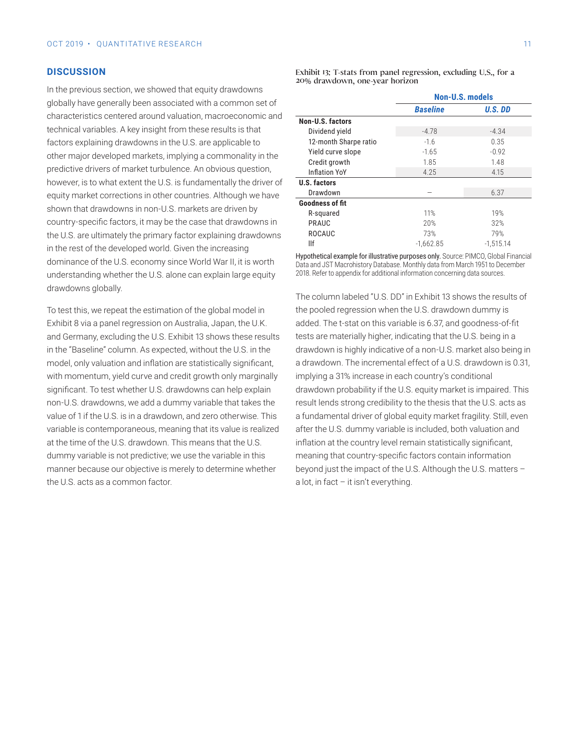#### **DISCUSSION**

In the previous section, we showed that equity drawdowns globally have generally been associated with a common set of characteristics centered around valuation, macroeconomic and technical variables. A key insight from these results is that factors explaining drawdowns in the U.S. are applicable to other major developed markets, implying a commonality in the predictive drivers of market turbulence. An obvious question, however, is to what extent the U.S. is fundamentally the driver of equity market corrections in other countries. Although we have shown that drawdowns in non-U.S. markets are driven by country-specific factors, it may be the case that drawdowns in the U.S. are ultimately the primary factor explaining drawdowns in the rest of the developed world. Given the increasing dominance of the U.S. economy since World War II, it is worth understanding whether the U.S. alone can explain large equity drawdowns globally.

To test this, we repeat the estimation of the global model in Exhibit 8 via a panel regression on Australia, Japan, the U.K. and Germany, excluding the U.S. Exhibit 13 shows these results in the "Baseline" column. As expected, without the U.S. in the model, only valuation and inflation are statistically significant, with momentum, yield curve and credit growth only marginally significant. To test whether U.S. drawdowns can help explain non-U.S. drawdowns, we add a dummy variable that takes the value of 1 if the U.S. is in a drawdown, and zero otherwise. This variable is contemporaneous, meaning that its value is realized at the time of the U.S. drawdown. This means that the U.S. dummy variable is not predictive; we use the variable in this manner because our objective is merely to determine whether the U.S. acts as a common factor.

Exhibit 13: T-stats from panel regression, excluding U.S., for a 20% drawdown, one-year horizon

|                        | <b>Non-U.S. models</b> |             |  |  |
|------------------------|------------------------|-------------|--|--|
|                        | <b>Baseline</b>        | U.S. DD     |  |  |
| Non-U.S. factors       |                        |             |  |  |
| Dividend yield         | $-4.78$                | $-4.34$     |  |  |
| 12-month Sharpe ratio  | $-1.6$                 | 0.35        |  |  |
| Yield curve slope      | $-1.65$                | $-0.92$     |  |  |
| Credit growth          | 1.85                   | 1.48        |  |  |
| <b>Inflation YoY</b>   | 4.25                   | 4.15        |  |  |
| U.S. factors           |                        |             |  |  |
| Drawdown               |                        | 6.37        |  |  |
| <b>Goodness of fit</b> |                        |             |  |  |
| R-squared              | 11%                    | 19%         |  |  |
| PRAUC                  | 20%                    | 32%         |  |  |
| ROCAUC                 | 73%                    | 79%         |  |  |
| llf                    | $-1.662.85$            | $-1.515.14$ |  |  |

Hypothetical example for illustrative purposes only. Source: PIMCO, Global Financial Data and JST Macrohistory Database. Monthly data from March 1951 to December 2018. Refer to appendix for additional information concerning data sources.

The column labeled "U.S. DD" in Exhibit 13 shows the results of the pooled regression when the U.S. drawdown dummy is added. The t-stat on this variable is 6.37, and goodness-of-fit tests are materially higher, indicating that the U.S. being in a drawdown is highly indicative of a non-U.S. market also being in a drawdown. The incremental effect of a U.S. drawdown is 0.31, implying a 31% increase in each country's conditional drawdown probability if the U.S. equity market is impaired. This result lends strong credibility to the thesis that the U.S. acts as a fundamental driver of global equity market fragility. Still, even after the U.S. dummy variable is included, both valuation and inflation at the country level remain statistically significant, meaning that country-specific factors contain information beyond just the impact of the U.S. Although the U.S. matters – a lot, in fact – it isn't everything.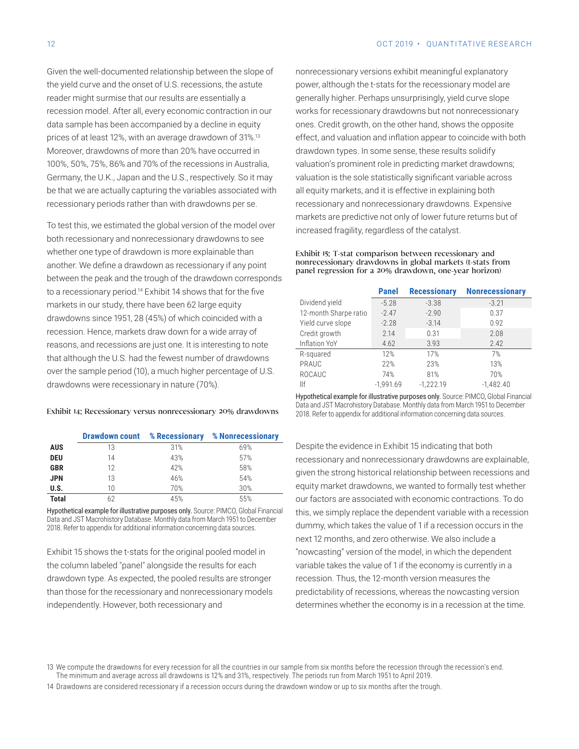Given the well-documented relationship between the slope of the yield curve and the onset of U.S. recessions, the astute reader might surmise that our results are essentially a recession model. After all, every economic contraction in our data sample has been accompanied by a decline in equity prices of at least 12%, with an average drawdown of 31%.13 Moreover, drawdowns of more than 20% have occurred in 100%, 50%, 75%, 86% and 70% of the recessions in Australia, Germany, the U.K., Japan and the U.S., respectively. So it may be that we are actually capturing the variables associated with recessionary periods rather than with drawdowns per se.

To test this, we estimated the global version of the model over both recessionary and nonrecessionary drawdowns to see whether one type of drawdown is more explainable than another. We define a drawdown as recessionary if any point between the peak and the trough of the drawdown corresponds to a recessionary period.14 Exhibit 14 shows that for the five markets in our study, there have been 62 large equity drawdowns since 1951, 28 (45%) of which coincided with a recession. Hence, markets draw down for a wide array of reasons, and recessions are just one. It is interesting to note that although the U.S. had the fewest number of drawdowns over the sample period (10), a much higher percentage of U.S. drawdowns were recessionary in nature (70%).

#### Exhibit 14: Recessionary versus nonrecessionary 20% drawdowns

|              |    | <b>Drawdown count % Recessionary</b> | % Nonrecessionary |
|--------------|----|--------------------------------------|-------------------|
| <b>AUS</b>   | 13 | 31%                                  | 69%               |
| <b>DEU</b>   | 14 | 43%                                  | 57%               |
| <b>GBR</b>   | 12 | 42%                                  | 58%               |
| <b>JPN</b>   | 13 | 46%                                  | 54%               |
| U.S.         | 10 | 70%                                  | 30%               |
| <b>Total</b> | 62 | 45%                                  | 55%               |

Hypothetical example for illustrative purposes only. Source: PIMCO, Global Financial Data and JST Macrohistory Database. Monthly data from March 1951 to December 2018. Refer to appendix for additional information concerning data sources.

Exhibit 15 shows the t-stats for the original pooled model in the column labeled "panel" alongside the results for each drawdown type. As expected, the pooled results are stronger than those for the recessionary and nonrecessionary models independently. However, both recessionary and

nonrecessionary versions exhibit meaningful explanatory power, although the t-stats for the recessionary model are generally higher. Perhaps unsurprisingly, yield curve slope works for recessionary drawdowns but not nonrecessionary ones. Credit growth, on the other hand, shows the opposite effect, and valuation and inflation appear to coincide with both drawdown types. In some sense, these results solidify valuation's prominent role in predicting market drawdowns; valuation is the sole statistically significant variable across all equity markets, and it is effective in explaining both recessionary and nonrecessionary drawdowns. Expensive markets are predictive not only of lower future returns but of increased fragility, regardless of the catalyst.

#### Exhibit 15: T-stat comparison between recessionary and nonrecessionary drawdowns in global markets (t-stats from panel regression for a 20% drawdown, one-year horizon)

|                       | <b>Panel</b> | <b>Recessionary</b> | <b>Nonrecessionary</b> |
|-----------------------|--------------|---------------------|------------------------|
| Dividend yield        | $-5.28$      | $-3.38$             | $-3.21$                |
| 12-month Sharpe ratio | $-2.47$      | $-2.90$             | 0.37                   |
| Yield curve slope     | $-2.28$      | $-3.14$             | 0.92                   |
| Credit growth         | 2.14         | 0.31                | 2.08                   |
| Inflation YoY         | 4.62         | 3.93                | 2.42                   |
| R-squared             | 12%          | 17%                 | 7%                     |
| PRAUC                 | 22%          | 23%                 | 13%                    |
| ROCAUC                | 74%          | 81%                 | 70%                    |
| $\Vert f$             | $-1,991.69$  | $-1.222.19$         | $-1,482.40$            |

Hypothetical example for illustrative purposes only. Source: PIMCO, Global Financial Data and JST Macrohistory Database. Monthly data from March 1951 to December 2018. Refer to appendix for additional information concerning data sources.

Despite the evidence in Exhibit 15 indicating that both recessionary and nonrecessionary drawdowns are explainable, given the strong historical relationship between recessions and equity market drawdowns, we wanted to formally test whether our factors are associated with economic contractions. To do this, we simply replace the dependent variable with a recession dummy, which takes the value of 1 if a recession occurs in the next 12 months, and zero otherwise. We also include a "nowcasting" version of the model, in which the dependent variable takes the value of 1 if the economy is currently in a recession. Thus, the 12-month version measures the predictability of recessions, whereas the nowcasting version determines whether the economy is in a recession at the time.

14 Drawdowns are considered recessionary if a recession occurs during the drawdown window or up to six months after the trough.

<sup>13</sup> We compute the drawdowns for every recession for all the countries in our sample from six months before the recession through the recession's end. The minimum and average across all drawdowns is 12% and 31%, respectively. The periods run from March 1951 to April 2019.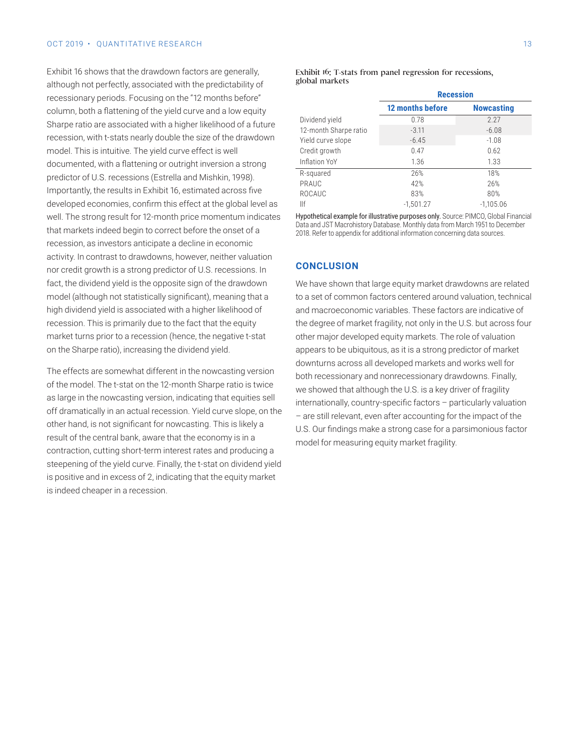#### OCT 2019 • OUANTITATIVE RESEARCH 13

Exhibit 16 shows that the drawdown factors are generally, although not perfectly, associated with the predictability of recessionary periods. Focusing on the "12 months before" column, both a flattening of the yield curve and a low equity Sharpe ratio are associated with a higher likelihood of a future recession, with t-stats nearly double the size of the drawdown model. This is intuitive. The yield curve effect is well documented, with a flattening or outright inversion a strong predictor of U.S. recessions (Estrella and Mishkin, 1998). Importantly, the results in Exhibit 16, estimated across five developed economies, confirm this effect at the global level as well. The strong result for 12-month price momentum indicates that markets indeed begin to correct before the onset of a recession, as investors anticipate a decline in economic activity. In contrast to drawdowns, however, neither valuation nor credit growth is a strong predictor of U.S. recessions. In fact, the dividend yield is the opposite sign of the drawdown model (although not statistically significant), meaning that a high dividend yield is associated with a higher likelihood of recession. This is primarily due to the fact that the equity market turns prior to a recession (hence, the negative t-stat on the Sharpe ratio), increasing the dividend yield.

The effects are somewhat different in the nowcasting version of the model. The t-stat on the 12-month Sharpe ratio is twice as large in the nowcasting version, indicating that equities sell off dramatically in an actual recession. Yield curve slope, on the other hand, is not significant for nowcasting. This is likely a result of the central bank, aware that the economy is in a contraction, cutting short-term interest rates and producing a steepening of the yield curve. Finally, the t-stat on dividend yield is positive and in excess of 2, indicating that the equity market is indeed cheaper in a recession.

#### Exhibit 16: T-stats from panel regression for recessions, global markets

|                       | <b>Recession</b>        |                   |  |  |  |
|-----------------------|-------------------------|-------------------|--|--|--|
|                       | <b>12 months before</b> | <b>Nowcasting</b> |  |  |  |
| Dividend yield        | 0.78                    | 2.27              |  |  |  |
| 12-month Sharpe ratio | $-3.11$                 | $-6.08$           |  |  |  |
| Yield curve slope     | $-6.45$                 | $-1.08$           |  |  |  |
| Credit growth         | 0.47                    | 0.62              |  |  |  |
| Inflation YoY         | 1.36                    | 1.33              |  |  |  |
| R-squared             | 26%                     | 18%               |  |  |  |
| PRAUC                 | 42%                     | 26%               |  |  |  |
| ROCAUC                | 83%                     | 80%               |  |  |  |
| llf                   | $-1.501.27$             | $-1.105.06$       |  |  |  |

Hypothetical example for illustrative purposes only. Source: PIMCO, Global Financial Data and JST Macrohistory Database. Monthly data from March 1951 to December 2018. Refer to appendix for additional information concerning data sources.

#### **CONCLUSION**

We have shown that large equity market drawdowns are related to a set of common factors centered around valuation, technical and macroeconomic variables. These factors are indicative of the degree of market fragility, not only in the U.S. but across four other major developed equity markets. The role of valuation appears to be ubiquitous, as it is a strong predictor of market downturns across all developed markets and works well for both recessionary and nonrecessionary drawdowns. Finally, we showed that although the U.S. is a key driver of fragility internationally, country-specific factors – particularly valuation – are still relevant, even after accounting for the impact of the U.S. Our findings make a strong case for a parsimonious factor model for measuring equity market fragility.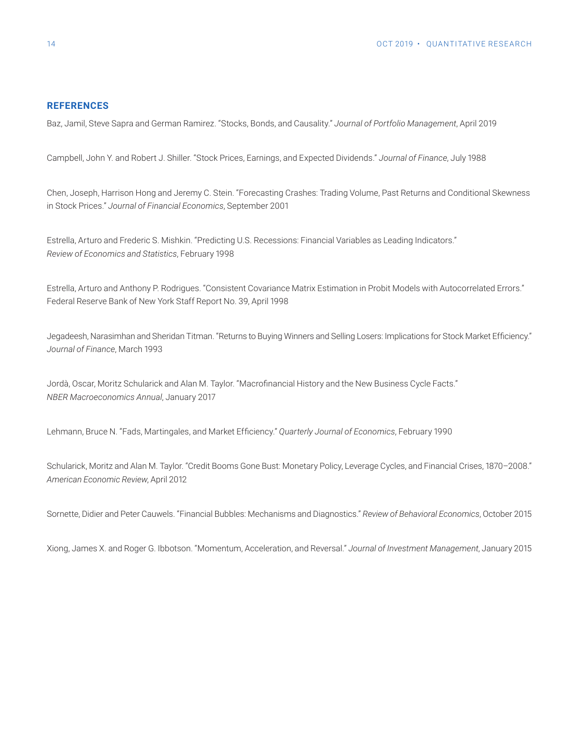#### **REFERENCES**

Baz, Jamil, Steve Sapra and German Ramirez. "Stocks, Bonds, and Causality." *Journal of Portfolio Management*, April 2019

Campbell, John Y. and Robert J. Shiller. "Stock Prices, Earnings, and Expected Dividends." *Journal of Finance*, July 1988

Chen, Joseph, Harrison Hong and Jeremy C. Stein. "Forecasting Crashes: Trading Volume, Past Returns and Conditional Skewness in Stock Prices." *Journal of Financial Economics*, September 2001

Estrella, Arturo and Frederic S. Mishkin. "Predicting U.S. Recessions: Financial Variables as Leading Indicators." *Review of Economics and Statistics*, February 1998

Estrella, Arturo and Anthony P. Rodrigues. "Consistent Covariance Matrix Estimation in Probit Models with Autocorrelated Errors." Federal Reserve Bank of New York Staff Report No. 39, April 1998

Jegadeesh, Narasimhan and Sheridan Titman. "Returns to Buying Winners and Selling Losers: Implications for Stock Market Efficiency." *Journal of Finance*, March 1993

Jordà, Oscar, Moritz Schularick and Alan M. Taylor. "Macrofinancial History and the New Business Cycle Facts." *NBER Macroeconomics Annual*, January 2017

Lehmann, Bruce N. "Fads, Martingales, and Market Efficiency." *Quarterly Journal of Economics*, February 1990

Schularick, Moritz and Alan M. Taylor. "Credit Booms Gone Bust: Monetary Policy, Leverage Cycles, and Financial Crises, 1870–2008." *American Economic Review*, April 2012

Sornette, Didier and Peter Cauwels. "Financial Bubbles: Mechanisms and Diagnostics." *Review of Behavioral Economics*, October 2015

Xiong, James X. and Roger G. Ibbotson. "Momentum, Acceleration, and Reversal." *Journal of Investment Management*, January 2015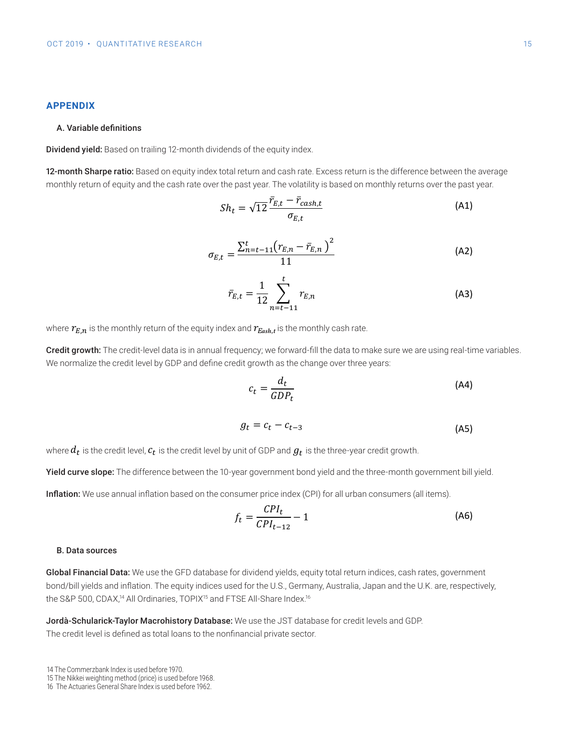#### **A. Variable definitions Dividend yield:** Based on trailing 12-month dividends of the equity index. **A. Variable definitions A. Variable definitions APPENDIX A. Variable definitions Dividend yield:** Based on trailing 12-month dividends of the equity index. **12-month Sharpe ratio:** Based on equity index total return and cash rate. Excess return is the difference **12-month Sharpe ratio:** Based on equity index total return and cash rate. Excess return is the difference between the average monthly return of equity and the cash rate over the past year. The volatility is the volatility is the volatility is the past year. The volatility is the volatility is the volatility is the volatility i **A. Variable definitions 12-month Sharpe ratio:** Based on equity index total return and cash rate. Excess return is the difference

#### **Dividend yield:** Based on trailing 12-month dividends of the equity index. **Dividend yield:** Based on trailing 12-month dividends of the equity index. A. Variable definitions **12-month Sharper ratio:**  $\mathcal{L} = \mathcal{L}$  **ratio:**  $\mathcal{L} = \mathcal{L}$  **rate. Excess return and cash rate. Excess return is the difference rate. Excess return is the difference rate. Excess return is the difference rate. Excess re Dividend yield:** Based on the equity index. **Based on the equity index.** The equity index. **Based on the except** index. **Based on the except** index. **Based on the except** index. **Based on the except** index. **Based on the** A. Variable definitions between the average monotonic return of equity and the cash rate over the past year. The past year. The volume of  $\alpha$

**12-month Sharpe ratio:** Based on equity index total return and cash rate. Excess return is the difference **12-month Sharpe ratio:** Based on equity index total return and cash rate. Excess return is the difference Dividend yield: Based on trailing 12-month dividends of the equity index. **12-ividend yield:** Based on trailing 12-month dividends of the equity index. **12-month Sharpe ratio:** Based on equity index total return and cash rate. Excess return is the difference between the average monomical return of the cash rate over the equity index. The vertex is year. The value of  $\alpha$ Dividend yield: Based on trailing 12-month dividends of the equity index.

12-month Sharpe ratio: Based on equity index total return and cash rate. Excess return is the difference between the avera monthly return of equity and the cash rate over the past year. The volatility is based c a monthly return of equity and the cash rate over the past year. The volatility i **2-month Sharpe ratio:** Based on equity index total return and cash rate. Excess return is the difference between th<br>  $\epsilon$  month onarperatio. Dascalor equity mack total is **2-month Sharpe ratio:** Based on equity index total return ar of factor of the subset on training to month annual as the equity mack.<br>**12-month Sharpe ratio:** Based on equity index total return and cash rate. Excess return is the difference between the average monthly return of equity and the cash rate over the past year. The volatility is based on monthly returns over the past year.

$$
Sh_t = \sqrt{12} \frac{\bar{r}_{E,t} - \bar{r}_{cash,t}}{\sigma_{E,t}}
$$
 (A1)

 $\overline{1}$ 

$$
\sigma_{E,t} = \frac{\sum_{n=t-11}^{t} (r_{E,n} - \bar{r}_{E,n})^2}{11}
$$
 (A2)

$$
\bar{r}_{E,t} = \frac{1}{12} \sum_{n=t-11}^{t} r_{E,n}
$$
 (A3)

where  $r_{E,n}$  is the monthly return of the equity index and  $r_{Eash,t}$  is the monthly cash rate. where  $r_{E,n}$  is the monthly return of the equity index and  $r_{Eash,t}$  is the monthly cash rate. where  $r_{E,n}$  is the monthly return of the equity index and  $r_{Eash,t}$  is the monthly cash rate.

Credit growth: The credit-level data is in annual frequency; we forward-fill the data to make sure we are using real-time variables. We normalize the credit level by GDP and define credit growth as the change over three years:  $\alpha$  reart growth. The  $\alpha$ zusn,<br>ncy; we forw Credit growth: The credit-level data is in annual frequency; we forward-fill the data to make sure we are using real-time variables. **Credit growth: Credit level by ODT** and define of early growth do the ondifige over three years. break growth. The sheak fever data is in annual hequency, we forward in the data to make sare we are doing rear time<br>We normalize the credit level by GDP and define credit growth as the change over three years:

$$
c_t = \frac{d_t}{GDP_t}
$$
(A4)

$$
g_t = c_t - c_{t-3} \tag{A5}
$$

 $\frac{4}{3}$ 

ct <sup>=</sup> dt where is the credit level by unit of GDP and  $g_t$  is the three-year credit growth. (A5)<br>At ⊃ot −2, or<br>At is the credit level,  $c_t$  is the credit level by unit of GDP and  $g_t$  is the three-year credit growth. where dt is the credit level, ct is the credit level by unit of GDP, and gt is the three-year credit growth. The three-year credit growth, and gt is the three-year credit growth. The three-year credit growth. The three-yea /here  $a_t$  is the credit leve where  $d_t$  is the credit level,  $c_t$  is the credit level by unit of GDP and  $g_t$  is the three-year credit growth.

ct =<br>Vield curve **ield curve slope:** The difference between the 10-year government bond yield and the three-month government bill yie<br>■ **Ield curve slope:** The difference between the TU-year government bond yield and the three-month government bill yie<br>. ar government bond vield and the three-month government bill leid curve slope. The amerence between the To-year government bond yield and the three-month government bill yie where done: The difference between the 10-year government bend viold and the three-menth government bill violation in the three-year credit growth. **Yield curve slope:** The difference between the 10-year government bond yield and the three-month government bill yield.

 $\frac{1}{2}$  finition. We use annual imitation based on the consumer pr Inflation: We use enough inflation begad on the consumer price index (CDI) for all urban consumers (all items) n<mark>flation:</mark> We use annual ir **11ation:** We use annual inflation based on the consumer price index (CPI) for all urban consumers (all items).<br>CDI **Yield curve slope:** The difference between the 10-year government bond yield and the three-month **illation.** We use annual **Inflation:** We use annual inflation based on the consumer price index (CPI) for all urban consumers (all items).

$$
f_t = \frac{CPI_t}{CPI_{t-12}} - 1
$$
 (A6)

#### B. Data sources *D. Data sources* **Inflation: <b>We use** annual inflation based on the consumer price index (CPI) for all use  $\mathcal{L}(\mathcal{L})$  for all use  $\mathcal{L}(\mathcal{L})$

Global Financial Data: We use the GFD database for dividend yields, equity total return indices, cash rates, government **Inflation: Inflation** based on the consumer price in the consumer price is equity total fettual bond/bill yields and inflation. The equity indices used for the U.S., Germany, Australia<br>The SP R 500, CDA X<sup>14</sup> All Ordin on: The equity indices ased for the 6.6<br>Drdinaries, TOPIX<sup>15</sup> and FTSE All-Share ilobal Financial Data: We use the GFD database for dividend yields, equity total return indices, cash rates, government<br>|ond/bill yields and inflation. The equity indices used for the U.S., Germany, Australia, Japan and t ات ا<mark>ن</mark>ادات  $-$  1 (A6) − 1 (A6) items). CPIt−12 bond/bill yields and inflation. The equity indices used for the U.S., Germany, Australia, Japan and the U.K. are, respectively, or dividend yield<br>⊃ **Iobal Financial Data:** We use the GFD database for dividend yields, equity total return indices, cash rates, government the S&P 500, CDAX,<sup>14</sup> All Ordinaries, TOPIX<sup>15</sup> and FTSE All-Share Index.<sup>16</sup><br>the S&P 500, CDAX,<sup>14</sup> All Ordinaries, TOPIX<sup>15</sup> and FTSE All-Share Index.<sup>16</sup>  $-\frac{16}{16}$ .<br>Tr dividend yield Global Financial Data: We use the GFD database for dividend yields, equity total return indices, cash rates, government 1007 2019 • QUANTITATIVE RESEARCH<br> **A. Variable definitions**<br>
2-**month Sharpe ratio:** Based on equity index total return and<br>
2-**month Sharpe ratio:** Based on equity index total return and<br>
2-**month** Sharpe ratio: Based o

ft = CPIt<br>ft = CPIt<br>ft = CPIt −−<br>−− **à-Schularick-Taylor Macrohistory Database:** We use the JST datab Me use the JST database for credit levels and GDP. **Forda** Scr<br>The credit level is defined as total loans to the nonfinancial <mark>p</mark> e the JST database for credit levels and GDP. The credit level is defined as total loans to the nonfinancial private sector.<br>-Jordà-Schularick-Taylor Macrohistory Database: We use the JST database for credit levels and GDP.

14 The Commerzbank Index is used before 1970.

<sup>15</sup> The Nikkei weighting method (price) is used before 1968.

<sup>16</sup> The Actuaries General Share Index is used before 1962.